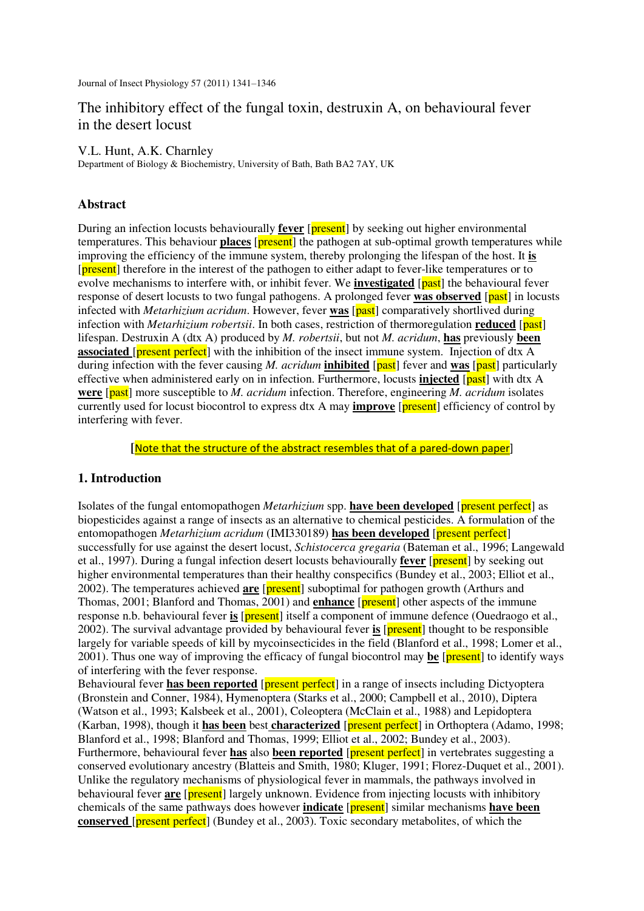Journal of Insect Physiology 57 (2011) 1341–1346

# The inhibitory effect of the fungal toxin, destruxin A, on behavioural fever in the desert locust

#### V.L. Hunt, A.K. Charnley

Department of Biology & Biochemistry, University of Bath, Bath BA2 7AY, UK

### **Abstract**

During an infection locusts behaviourally **fever** [present] by seeking out higher environmental temperatures. This behaviour **places** [**present**] the pathogen at sub-optimal growth temperatures while improving the efficiency of the immune system, thereby prolonging the lifespan of the host. It **is** [present] therefore in the interest of the pathogen to either adapt to fever-like temperatures or to evolve mechanisms to interfere with, or inhibit fever. We **investigated** [past] the behavioural fever response of desert locusts to two fungal pathogens. A prolonged fever **was observed** [past] in locusts infected with *Metarhizium acridum*. However, fever **was** [past] comparatively shortlived during infection with *Metarhizium robertsii*. In both cases, restriction of thermoregulation **reduced** [past] lifespan. Destruxin A (dtx A) produced by *M. robertsii*, but not *M. acridum*, **has** previously **been associated** *[present perfect]* with the inhibition of the insect immune system. Injection of dtx A during infection with the fever causing *M. acridum* **inhibited** [past] fever and **was** [past] particularly effective when administered early on in infection. Furthermore, locusts **injected** [past] with dtx A **were** [past] more susceptible to *M. acridum* infection. Therefore, engineering *M. acridum* isolates currently used for locust biocontrol to express dtx A may **improve** [present] efficiency of control by interfering with fever.

**[**Note that the structure of the abstract resembles that of a pared-down paper]

# **1. Introduction**

Isolates of the fungal entomopathogen *Metarhizium* spp. **have been developed** [present perfect] as biopesticides against a range of insects as an alternative to chemical pesticides. A formulation of the entomopathogen *Metarhizium acridum* (IMI330189) **has been developed** [present perfect] successfully for use against the desert locust, *Schistocerca gregaria* (Bateman et al., 1996; Langewald et al., 1997). During a fungal infection desert locusts behaviourally **fever** [present] by seeking out higher environmental temperatures than their healthy conspecifics (Bundey et al., 2003; Elliot et al., 2002). The temperatures achieved **are** [present] suboptimal for pathogen growth (Arthurs and Thomas, 2001; Blanford and Thomas, 2001) and **enhance** [**present**] other aspects of the immune response n.b. behavioural fever **is** [**present**] itself a component of immune defence (Ouedraogo et al., 2002). The survival advantage provided by behavioural fever **is** [present] thought to be responsible largely for variable speeds of kill by mycoinsecticides in the field (Blanford et al., 1998; Lomer et al., 2001). Thus one way of improving the efficacy of fungal biocontrol may **be** [present] to identify ways of interfering with the fever response.

Behavioural fever **has been reported** [present perfect] in a range of insects including Dictyoptera (Bronstein and Conner, 1984), Hymenoptera (Starks et al., 2000; Campbell et al., 2010), Diptera (Watson et al., 1993; Kalsbeek et al., 2001), Coleoptera (McClain et al., 1988) and Lepidoptera (Karban, 1998), though it **has been** best **characterized** [present perfect] in Orthoptera (Adamo, 1998; Blanford et al., 1998; Blanford and Thomas, 1999; Elliot et al., 2002; Bundey et al., 2003). Furthermore, behavioural fever **has** also **been reported** [present perfect] in vertebrates suggesting a conserved evolutionary ancestry (Blatteis and Smith, 1980; Kluger, 1991; Florez-Duquet et al., 2001). Unlike the regulatory mechanisms of physiological fever in mammals, the pathways involved in behavioural fever **are** [**present**] largely unknown. Evidence from injecting locusts with inhibitory chemicals of the same pathways does however **indicate** [present] similar mechanisms **have been conserved** [present perfect] (Bundey et al., 2003). Toxic secondary metabolites, of which the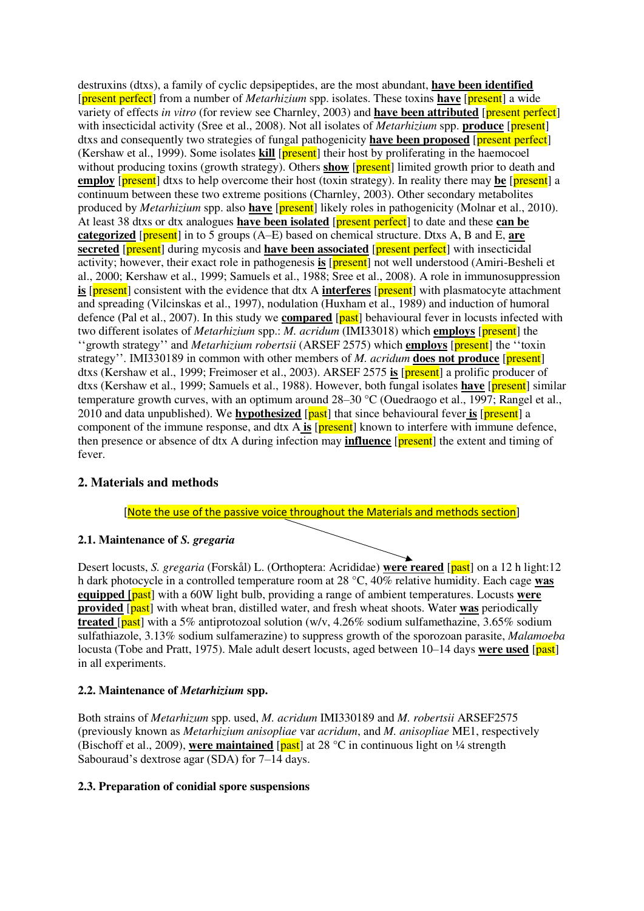destruxins (dtxs), a family of cyclic depsipeptides, are the most abundant, **have been identified** [present perfect] from a number of *Metarhizium* spp. isolates. These toxins **have** [present] a wide variety of effects *in vitro* (for review see Charnley, 2003) and **have been attributed** [present perfect] with insecticidal activity (Sree et al., 2008). Not all isolates of *Metarhizium* spp. **produce** [*present*] dtxs and consequently two strategies of fungal pathogenicity **have been proposed** [present perfect] (Kershaw et al., 1999). Some isolates **kill** [present] their host by proliferating in the haemocoel without producing toxins (growth strategy). Others **show** [**present**] limited growth prior to death and **employ** [present] dtxs to help overcome their host (toxin strategy). In reality there may be [present] a continuum between these two extreme positions (Charnley, 2003). Other secondary metabolites produced by *Metarhizium* spp. also **have** [present] likely roles in pathogenicity (Molnar et al., 2010). At least 38 dtxs or dtx analogues **have been isolated** [present perfect] to date and these **can be categorized** [present] in to 5 groups (A–E) based on chemical structure. Dtxs A, B and E, **are secreted** [present] during mycosis and **have been associated** [present perfect] with insecticidal activity; however, their exact role in pathogenesis **is** [present] not well understood (Amiri-Besheli et al., 2000; Kershaw et al., 1999; Samuels et al., 1988; Sree et al., 2008). A role in immunosuppression **is** [**present**] consistent with the evidence that dtx A **interferes** [**present**] with plasmatocyte attachment and spreading (Vilcinskas et al., 1997), nodulation (Huxham et al., 1989) and induction of humoral defence (Pal et al., 2007). In this study we **compared** [past] behavioural fever in locusts infected with two different isolates of *Metarhizium* spp.: *M. acridum* (IMI33018) which **employs** [present] the ''growth strategy'' and *Metarhizium robertsii* (ARSEF 2575) which **employs** [present] the ''toxin strategy''. IMI330189 in common with other members of *M. acridum* **does not produce** [present] dtxs (Kershaw et al., 1999; Freimoser et al., 2003). ARSEF 2575 **is** [present] a prolific producer of dtxs (Kershaw et al., 1999; Samuels et al., 1988). However, both fungal isolates **have** [present] similar temperature growth curves, with an optimum around 28–30 °C (Ouedraogo et al., 1997; Rangel et al., 2010 and data unpublished). We **hypothesized** [past] that since behavioural fever is [present] a component of the immune response, and dtx A **is** [present] known to interfere with immune defence, then presence or absence of dtx A during infection may **influence** [present] the extent and timing of fever.

# **2. Materials and methods**

[Note the use of the passive voice throughout the Materials and methods section]

# **2.1. Maintenance of** *S. gregaria*

Desert locusts, *S. gregaria* (Forskål) L. (Orthoptera: Acrididae) **were reared** [past] on a 12 h light:12 h dark photocycle in a controlled temperature room at 28 °C, 40% relative humidity. Each cage **was equipped [**past] with a 60W light bulb, providing a range of ambient temperatures. Locusts **were provided** [past] with wheat bran, distilled water, and fresh wheat shoots. Water was periodically **treated** [past] with a 5% antiprotozoal solution (w/v, 4.26% sodium sulfamethazine, 3.65% sodium sulfathiazole, 3.13% sodium sulfamerazine) to suppress growth of the sporozoan parasite, *Malamoeba*  locusta (Tobe and Pratt, 1975). Male adult desert locusts, aged between 10–14 days **were used** [past] in all experiments.

# **2.2. Maintenance of** *Metarhizium* **spp.**

Both strains of *Metarhizum* spp. used, *M. acridum* IMI330189 and *M. robertsii* ARSEF2575 (previously known as *Metarhizium anisopliae* var *acridum*, and *M. anisopliae* ME1, respectively (Bischoff et al., 2009), **were maintained** [past] at 28 °C in continuous light on ¼ strength Sabouraud's dextrose agar (SDA) for 7–14 days.

#### **2.3. Preparation of conidial spore suspensions**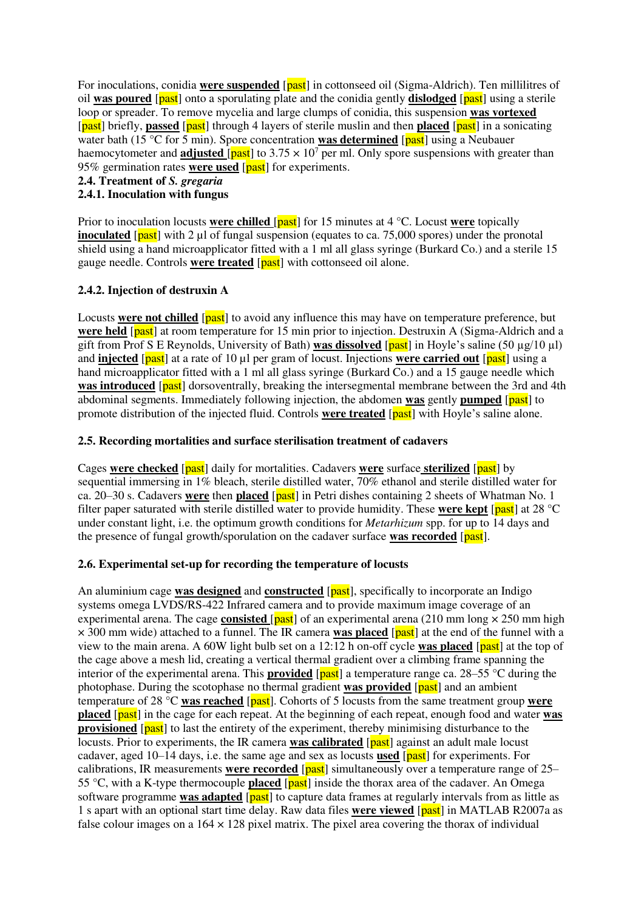For inoculations, conidia **were suspended** [past] in cottonseed oil (Sigma-Aldrich). Ten millilitres of oil **was poured** [past] onto a sporulating plate and the conidia gently **dislodged** [past] using a sterile loop or spreader. To remove mycelia and large clumps of conidia, this suspension **was vortexed** [past] briefly, **passed** [past] through 4 layers of sterile muslin and then **placed** [past] in a sonicating water bath (15 °C for 5 min). Spore concentration **was determined** [past] using a Neubauer haemocytometer and **adjusted** [past] to 3.75  $\times$  10<sup>7</sup> per ml. Only spore suspensions with greater than 95% germination rates **were used** [past] for experiments.

#### **2.4. Treatment of** *S. gregaria*

### **2.4.1. Inoculation with fungus**

Prior to inoculation locusts **were chilled** [past] for 15 minutes at 4 °C. Locust **were** topically **inoculated** [past] with 2 µl of fungal suspension (equates to ca. 75,000 spores) under the pronotal shield using a hand microapplicator fitted with a 1 ml all glass syringe (Burkard Co.) and a sterile 15 gauge needle. Controls **were treated** [past] with cottonseed oil alone.

### **2.4.2. Injection of destruxin A**

Locusts **were not chilled** [past] to avoid any influence this may have on temperature preference, but **were held** [past] at room temperature for 15 min prior to injection. Destruxin A (Sigma-Aldrich and a gift from Prof S E Reynolds, University of Bath) **was dissolved** [past] in Hoyle's saline (50  $\mu$ g/10  $\mu$ l) and **injected** [past] at a rate of 10 µl per gram of locust. Injections **were carried out** [past] using a hand microapplicator fitted with a 1 ml all glass syringe (Burkard Co.) and a 15 gauge needle which **was introduced** [past] dorsoventrally, breaking the intersegmental membrane between the 3rd and 4th abdominal segments. Immediately following injection, the abdomen **was** gently **pumped** [past] to promote distribution of the injected fluid. Controls **were treated** [past] with Hoyle's saline alone.

### **2.5. Recording mortalities and surface sterilisation treatment of cadavers**

Cages **were checked** [past] daily for mortalities. Cadavers **were** surface **sterilized** [past] by sequential immersing in 1% bleach, sterile distilled water, 70% ethanol and sterile distilled water for ca. 20–30 s. Cadavers **were** then **placed** [past] in Petri dishes containing 2 sheets of Whatman No. 1 filter paper saturated with sterile distilled water to provide humidity. These **were kept** [past] at 28 °C under constant light, i.e. the optimum growth conditions for *Metarhizum* spp. for up to 14 days and the presence of fungal growth/sporulation on the cadaver surface was recorded [past].

#### **2.6. Experimental set-up for recording the temperature of locusts**

An aluminium cage **was designed** and **constructed** [past], specifically to incorporate an Indigo systems omega LVDS/RS-422 Infrared camera and to provide maximum image coverage of an experimental arena. The cage **consisted**  $\sqrt{past}$  of an experimental arena (210 mm long  $\times$  250 mm high × 300 mm wide) attached to a funnel. The IR camera **was placed** [past] at the end of the funnel with a view to the main arena. A 60W light bulb set on a 12:12 h on-off cycle **was placed** [past] at the top of the cage above a mesh lid, creating a vertical thermal gradient over a climbing frame spanning the interior of the experimental arena. This **provided** [past] a temperature range ca. 28–55 °C during the photophase. During the scotophase no thermal gradient **was provided** [past] and an ambient temperature of 28 °C **was reached** [past]. Cohorts of 5 locusts from the same treatment group **were placed** [past] in the cage for each repeat. At the beginning of each repeat, enough food and water **was provisioned** [past] to last the entirety of the experiment, thereby minimising disturbance to the locusts. Prior to experiments, the IR camera **was calibrated** [past] against an adult male locust cadaver, aged 10–14 days, i.e. the same age and sex as locusts **used** [past] for experiments. For calibrations, IR measurements **were recorded** [past] simultaneously over a temperature range of 25– 55 °C, with a K-type thermocouple **placed** [past] inside the thorax area of the cadaver. An Omega software programme **was adapted** [past] to capture data frames at regularly intervals from as little as 1 s apart with an optional start time delay. Raw data files **were viewed** [past] in MATLAB R2007a as false colour images on a  $164 \times 128$  pixel matrix. The pixel area covering the thorax of individual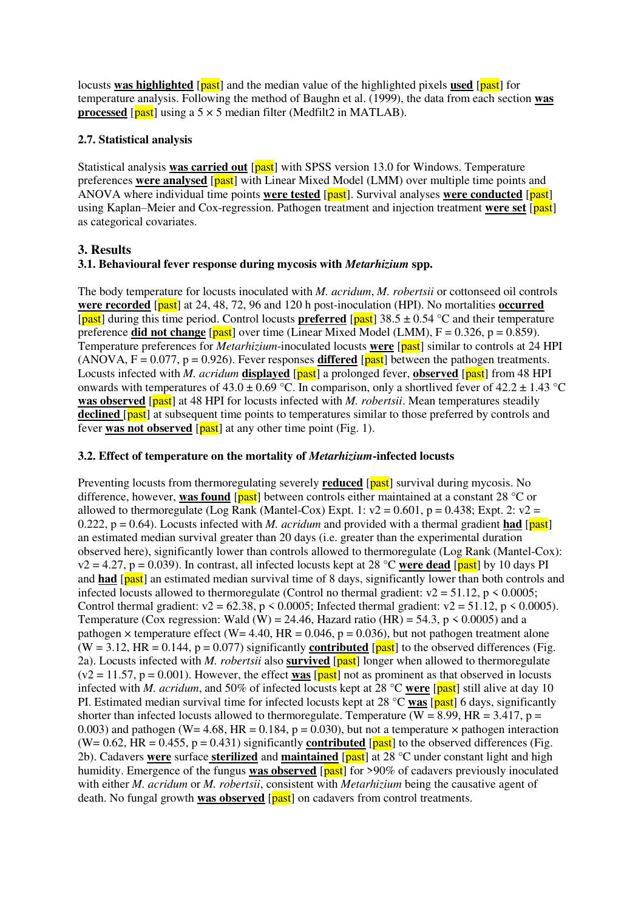locusts **was highlighted** [**past**] and the median value of the highlighted pixels used [**past**] for temperature analysis. Following the method of Baughn et al. (1999), the data from each section **was processed** [ $\text{past}$ ] using a 5  $\times$  5 median filter (Medfilt2 in MATLAB).

## **2.7. Statistical analysis**

Statistical analysis **was carried out** [past] with SPSS version 13.0 for Windows. Temperature preferences **were analysed** [past] with Linear Mixed Model (LMM) over multiple time points and ANOVA where individual time points **were tested** [past]. Survival analyses **were conducted** [past] using Kaplan–Meier and Cox-regression. Pathogen treatment and injection treatment **were set** [past] as categorical covariates.

# **3. Results**

### **3.1. Behavioural fever response during mycosis with** *Metarhizium* **spp.**

The body temperature for locusts inoculated with *M. acridum*, *M. robertsii* or cottonseed oil controls **were recorded** [past] at 24, 48, 72, 96 and 120 h post-inoculation (HPI). No mortalities **occurred** [past] during this time period. Control locusts **preferred** [past]  $38.5 \pm 0.54$  °C and their temperature preference **did not change** [past] over time (Linear Mixed Model (LMM), F = 0.326, p = 0.859). Temperature preferences for *Metarhizium*-inoculated locusts **were** [past] similar to controls at 24 HPI (ANOVA,  $F = 0.077$ ,  $p = 0.926$ ). Fever responses **differed** [past] between the pathogen treatments. Locusts infected with *M. acridum* **displayed** [past] a prolonged fever, **observed** [past] from 48 HPI onwards with temperatures of  $43.0 \pm 0.69$  °C. In comparison, only a shortlived fever of  $42.2 \pm 1.43$  °C **was observed** [past] at 48 HPI for locusts infected with *M. robertsii*. Mean temperatures steadily **declined** [past] at subsequent time points to temperatures similar to those preferred by controls and fever **was not observed** [past] at any other time point (Fig. 1).

#### **3.2. Effect of temperature on the mortality of** *Metarhizium***-infected locusts**

Preventing locusts from thermoregulating severely **reduced** [past] survival during mycosis. No difference, however, **was found** [ $\frac{|\text{past}|}{|\text{best}|}$  between controls either maintained at a constant 28 °C or allowed to thermoregulate (Log Rank (Mantel-Cox) Expt. 1:  $v^2 = 0.601$ , p = 0.438; Expt. 2:  $v^2 =$ 0.222,  $p = 0.64$ ). Locusts infected with *M. acridum* and provided with a thermal gradient **had** [past] an estimated median survival greater than 20 days (i.e. greater than the experimental duration observed here), significantly lower than controls allowed to thermoregulate (Log Rank (Mantel-Cox):  $v2 = 4.27$ ,  $p = 0.039$ ). In contrast, all infected locusts kept at 28 °C were dead [past] by 10 days PI and **had** [past] an estimated median survival time of 8 days, significantly lower than both controls and infected locusts allowed to thermoregulate (Control no thermal gradient:  $v^2 = 51.12$ ,  $p \le 0.0005$ ; Control thermal gradient:  $v2 = 62.38$ ,  $p \le 0.0005$ ; Infected thermal gradient:  $v2 = 51.12$ ,  $p \le 0.0005$ ). Temperature (Cox regression: Wald (W) = 24.46, Hazard ratio (HR) = 54.3, p  $\leq$  0.0005) and a pathogen  $\times$  temperature effect (W= 4.40, HR = 0.046, p = 0.036), but not pathogen treatment alone  $(W = 3.12, HR = 0.144, p = 0.077)$  significantly **contributed** [past] to the observed differences (Fig. 2a). Locusts infected with *M. robertsii* also **survived** [*past*] longer when allowed to thermoregulate  $(v2 = 11.57, p = 0.001)$ . However, the effect **was** [past] not as prominent as that observed in locusts infected with *M. acridum*, and 50% of infected locusts kept at 28 °C **were** [past] still alive at day 10 PI. Estimated median survival time for infected locusts kept at 28 °C **was** [past] 6 days, significantly shorter than infected locusts allowed to thermoregulate. Temperature (W =  $8.99$ , HR =  $3.417$ , p = 0.003) and pathogen (W= 4.68, HR = 0.184, p = 0.030), but not a temperature  $\times$  pathogen interaction (W= 0.62, HR = 0.455, p = 0.431) significantly **contributed** [past] to the observed differences (Fig. 2b). Cadavers **were** surface **sterilized** and **maintained** [past] at 28 °C under constant light and high humidity. Emergence of the fungus **was observed** [past] for >90% of cadavers previously inoculated with either *M. acridum* or *M. robertsii*, consistent with *Metarhizium* being the causative agent of death. No fungal growth **was observed** [past] on cadavers from control treatments.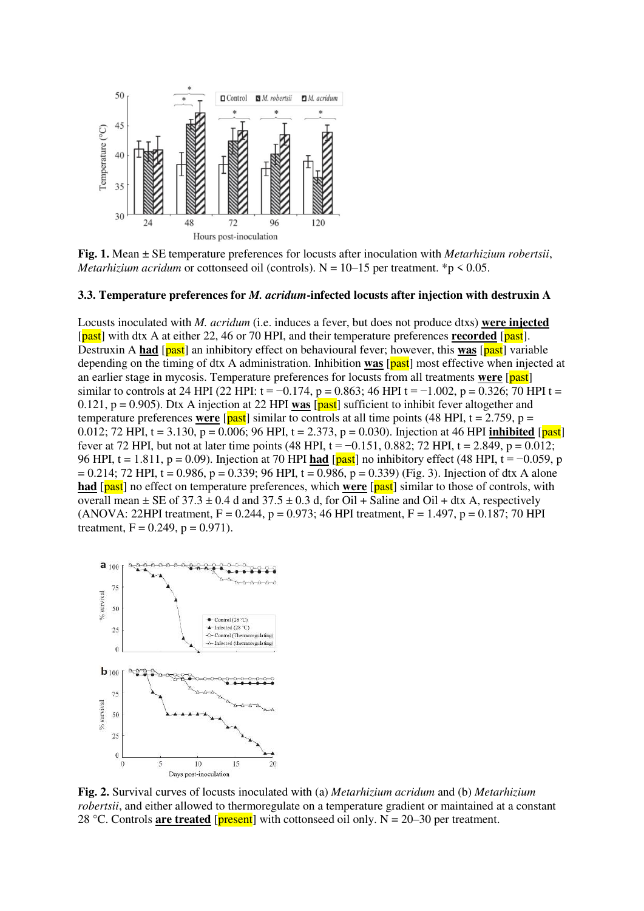

**Fig. 1.** Mean ± SE temperature preferences for locusts after inoculation with *Metarhizium robertsii*, *Metarhizium acridum* or cottonseed oil (controls).  $N = 10-15$  per treatment. \*p < 0.05.

#### **3.3. Temperature preferences for** *M. acridum***-infected locusts after injection with destruxin A**

Locusts inoculated with *M. acridum* (i.e. induces a fever, but does not produce dtxs) **were injected** [past] with dtx A at either 22, 46 or 70 HPI, and their temperature preferences **recorded** [past]. Destruxin A **had** [past] an inhibitory effect on behavioural fever; however, this **was** [past] variable depending on the timing of dtx A administration. Inhibition **was** [past] most effective when injected at an earlier stage in mycosis. Temperature preferences for locusts from all treatments **were** [past] similar to controls at 24 HPI (22 HPI:  $t = -0.174$ ,  $p = 0.863$ ; 46 HPI  $t = -1.002$ ,  $p = 0.326$ ; 70 HPI  $t =$ 0.121, p = 0.905). Dtx A injection at 22 HPI **was** [past] sufficient to inhibit fever altogether and temperature preferences **were**  $\sqrt{[past]}$  similar to controls at all time points (48 HPI, t = 2.759, p = 0.012; 72 HPI, t = 3.130, p = 0.006; 96 HPI, t = 2.373, p = 0.030). Injection at 46 HPI **inhibited** [past] fever at 72 HPI, but not at later time points (48 HPI, t =  $-0.151$ , 0.882; 72 HPI, t = 2.849, p = 0.012; 96 HPI, t = 1.811, p = 0.09). Injection at 70 HPI **had** [past] no inhibitory effect (48 HPI, t = −0.059, p  $= 0.214$ ; 72 HPI, t = 0.986, p = 0.339; 96 HPI, t = 0.986, p = 0.339) (Fig. 3). Injection of dtx A alone **had** [past] no effect on temperature preferences, which **were** [past] similar to those of controls, with overall mean  $\pm$  SE of 37.3  $\pm$  0.4 d and 37.5  $\pm$  0.3 d, for Oil + Saline and Oil + dtx A, respectively (ANOVA: 22HPI treatment,  $F = 0.244$ ,  $p = 0.973$ ; 46 HPI treatment,  $F = 1.497$ ,  $p = 0.187$ ; 70 HPI treatment,  $F = 0.249$ ,  $p = 0.971$ .



**Fig. 2.** Survival curves of locusts inoculated with (a) *Metarhizium acridum* and (b) *Metarhizium robertsii*, and either allowed to thermoregulate on a temperature gradient or maintained at a constant 28 °C. Controls **are treated** [ $present$ ] with cottonseed oil only. N = 20–30 per treatment.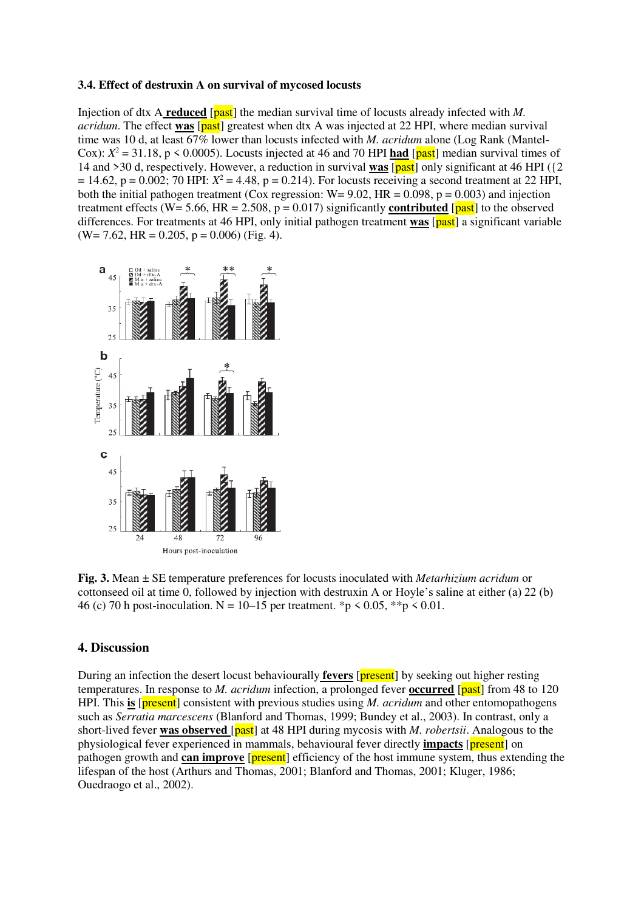#### **3.4. Effect of destruxin A on survival of mycosed locusts**

Injection of dtx A **reduced** [past] the median survival time of locusts already infected with *M*. *acridum*. The effect **was** [past] greatest when dtx A was injected at 22 HPI, where median survival time was 10 d, at least 67% lower than locusts infected with *M. acridum* alone (Log Rank (Mantel-Cox):  $X^2 = 31.18$ , p < 0.0005). Locusts injected at 46 and 70 HPI **had** [past] median survival times of 14 and >30 d, respectively. However, a reduction in survival **was** [past] only significant at 46 HPI ({2  $= 14.62$ ,  $p = 0.002$ ; 70 HPI:  $X^2 = 4.48$ ,  $p = 0.214$ ). For locusts receiving a second treatment at 22 HPI, both the initial pathogen treatment (Cox regression:  $W = 9.02$ ,  $HR = 0.098$ ,  $p = 0.003$ ) and injection treatment effects (W= 5.66, HR = 2.508,  $p = 0.017$ ) significantly **contributed** [past] to the observed differences. For treatments at 46 HPI, only initial pathogen treatment **was** [past] a significant variable  $(W= 7.62, HR = 0.205, p = 0.006)$  (Fig. 4).



**Fig. 3.** Mean ± SE temperature preferences for locusts inoculated with *Metarhizium acridum* or cottonseed oil at time 0, followed by injection with destruxin A or Hoyle's saline at either (a) 22 (b) 46 (c) 70 h post-inoculation. N = 10–15 per treatment. \*p < 0.05, \*\*p < 0.01.

#### **4. Discussion**

During an infection the desert locust behaviourally **fevers** [present] by seeking out higher resting temperatures. In response to *M. acridum* infection, a prolonged fever **occurred** [past] from 48 to 120 HPI. This **is** [present] consistent with previous studies using *M. acridum* and other entomopathogens such as *Serratia marcescens* (Blanford and Thomas, 1999; Bundey et al., 2003). In contrast, only a short-lived fever **was observed** [past] at 48 HPI during mycosis with *M. robertsii*. Analogous to the physiological fever experienced in mammals, behavioural fever directly **impacts** [present] on pathogen growth and **can improve** [**present**] efficiency of the host immune system, thus extending the lifespan of the host (Arthurs and Thomas, 2001; Blanford and Thomas, 2001; Kluger, 1986; Ouedraogo et al., 2002).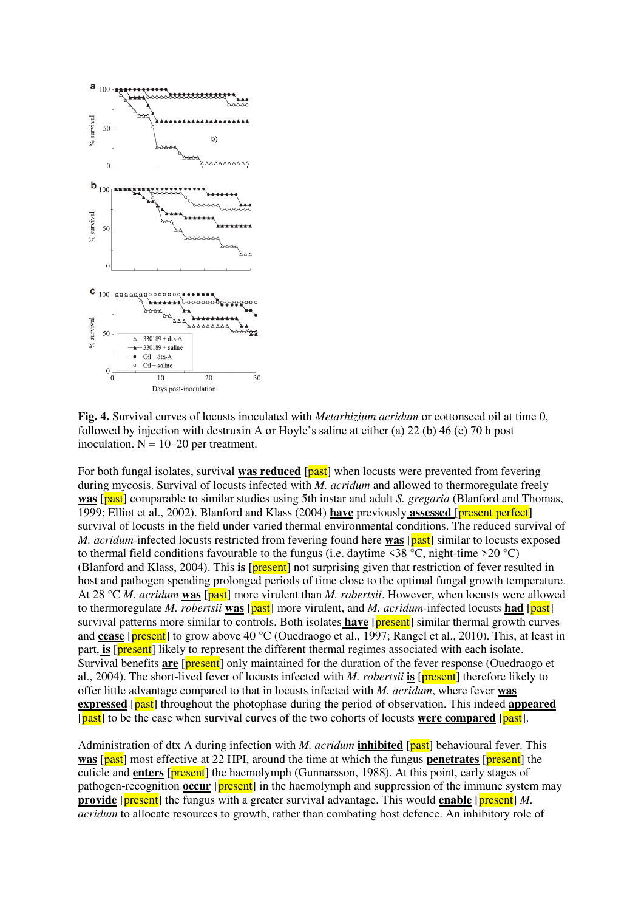

**Fig. 4.** Survival curves of locusts inoculated with *Metarhizium acridum* or cottonseed oil at time 0, followed by injection with destruxin A or Hoyle's saline at either (a) 22 (b) 46 (c) 70 h post inoculation.  $N = 10-20$  per treatment.

For both fungal isolates, survival **was reduced** [past] when locusts were prevented from fevering during mycosis. Survival of locusts infected with *M. acridum* and allowed to thermoregulate freely **was** [past] comparable to similar studies using 5th instar and adult *S. gregaria* (Blanford and Thomas, 1999; Elliot et al., 2002). Blanford and Klass (2004) **have** previously **assessed** [present perfect] survival of locusts in the field under varied thermal environmental conditions. The reduced survival of *M. acridum*-infected locusts restricted from fevering found here **was** [past] similar to locusts exposed to thermal field conditions favourable to the fungus (i.e. daytime  $\leq 38 \degree C$ , night-time  $\geq 20 \degree C$ ) (Blanford and Klass, 2004). This **is** [present] not surprising given that restriction of fever resulted in host and pathogen spending prolonged periods of time close to the optimal fungal growth temperature. At 28 °C *M. acridum* **was** [past] more virulent than *M. robertsii*. However, when locusts were allowed to thermoregulate *M. robertsii* **was** [past] more virulent, and *M. acridum*-infected locusts **had** [past] survival patterns more similar to controls. Both isolates **have** [**present**] similar thermal growth curves and **cease** [**present**] to grow above 40 °C (Ouedraogo et al., 1997; Rangel et al., 2010). This, at least in part, **is** [**present**] likely to represent the different thermal regimes associated with each isolate. Survival benefits **are** [present] only maintained for the duration of the fever response (Ouedraogo et al., 2004). The short-lived fever of locusts infected with *M. robertsii* **is** [present] therefore likely to offer little advantage compared to that in locusts infected with *M. acridum*, where fever **was expressed** [past] throughout the photophase during the period of observation. This indeed **appeared** [past] to be the case when survival curves of the two cohorts of locusts **were compared** [past].

Administration of dtx A during infection with *M. acridum* **inhibited** [past] behavioural fever. This **was** [past] most effective at 22 HPI, around the time at which the fungus **penetrates** [present] the cuticle and **enters** [present] the haemolymph (Gunnarsson, 1988). At this point, early stages of pathogen-recognition **occur** [present] in the haemolymph and suppression of the immune system may **provide** [**present**] the fungus with a greater survival advantage. This would **enable** [**present**] *M*. *acridum* to allocate resources to growth, rather than combating host defence. An inhibitory role of